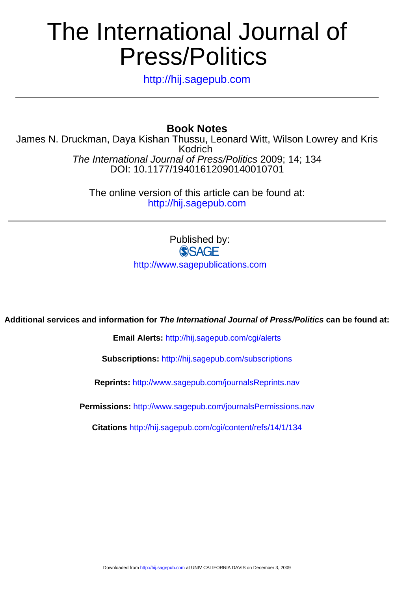## Press/Politics The International Journal of

http://hij.sagepub.com

**Book Notes**

DOI: 10.1177/19401612090140010701 The International Journal of Press/Politics 2009; 14; 134 Kodrich James N. Druckman, Daya Kishan Thussu, Leonard Witt, Wilson Lowrey and Kris

> http://hij.sagepub.com The online version of this article can be found at:

> > Published by: **SSAGE**

http://www.sagepublications.com

**Additional services and information for The International Journal of Press/Politics can be found at:**

**Email Alerts:** <http://hij.sagepub.com/cgi/alerts>

**Subscriptions:** <http://hij.sagepub.com/subscriptions>

**Reprints:** <http://www.sagepub.com/journalsReprints.nav>

**Permissions:** <http://www.sagepub.com/journalsPermissions.nav>

**Citations** <http://hij.sagepub.com/cgi/content/refs/14/1/134>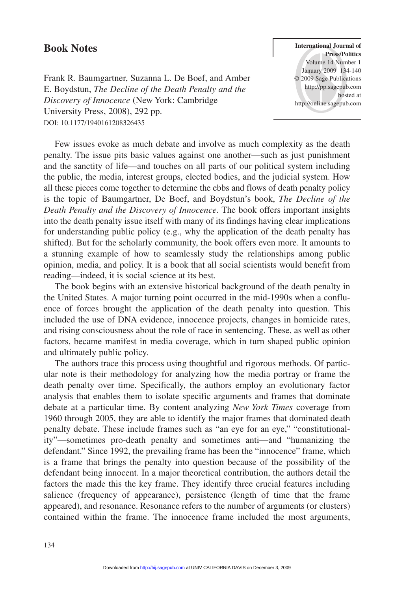Frank R. Baumgartner, Suzanna L. De Boef, and Amber E. Boydstun, *The Decline of the Death Penalty and the Discovery of Innocence* (New York: Cambridge University Press, 2008), 292 pp. DOI: 10.1177/1940161208326435

**International Journal of Press/Politics** Volume 14 Number 1 January 2009 134-140 © 2009 Sage Publications http://pp.sagepub.com hosted at http://online.sagepub.com

Few issues evoke as much debate and involve as much complexity as the death penalty. The issue pits basic values against one another—such as just punishment and the sanctity of life—and touches on all parts of our political system including the public, the media, interest groups, elected bodies, and the judicial system. How all these pieces come together to determine the ebbs and flows of death penalty policy is the topic of Baumgartner, De Boef, and Boydstun's book, *The Decline of the Death Penalty and the Discovery of Innocence*. The book offers important insights into the death penalty issue itself with many of its findings having clear implications for understanding public policy (e.g., why the application of the death penalty has shifted). But for the scholarly community, the book offers even more. It amounts to a stunning example of how to seamlessly study the relationships among public opinion, media, and policy. It is a book that all social scientists would benefit from reading—indeed, it is social science at its best.

The book begins with an extensive historical background of the death penalty in the United States. A major turning point occurred in the mid-1990s when a confluence of forces brought the application of the death penalty into question. This included the use of DNA evidence, innocence projects, changes in homicide rates, and rising consciousness about the role of race in sentencing. These, as well as other factors, became manifest in media coverage, which in turn shaped public opinion and ultimately public policy.

The authors trace this process using thoughtful and rigorous methods. Of particular note is their methodology for analyzing how the media portray or frame the death penalty over time. Specifically, the authors employ an evolutionary factor analysis that enables them to isolate specific arguments and frames that dominate debate at a particular time. By content analyzing *New York Times* coverage from 1960 through 2005, they are able to identify the major frames that dominated death penalty debate. These include frames such as "an eye for an eye," "constitutionality"—sometimes pro-death penalty and sometimes anti—and "humanizing the defendant." Since 1992, the prevailing frame has been the "innocence" frame, which is a frame that brings the penalty into question because of the possibility of the defendant being innocent. In a major theoretical contribution, the authors detail the factors the made this the key frame. They identify three crucial features including salience (frequency of appearance), persistence (length of time that the frame appeared), and resonance. Resonance refers to the number of arguments (or clusters) contained within the frame. The innocence frame included the most arguments,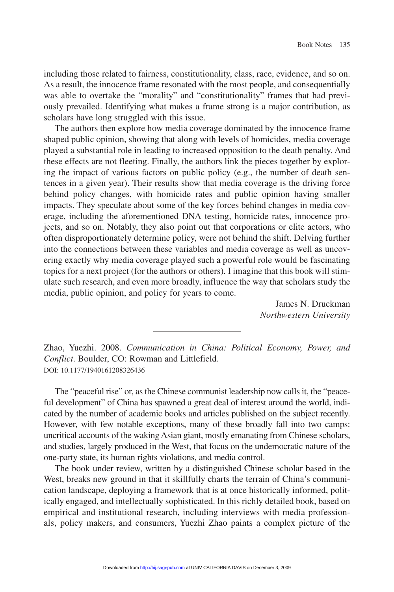including those related to fairness, constitutionality, class, race, evidence, and so on. As a result, the innocence frame resonated with the most people, and consequentially was able to overtake the "morality" and "constitutionality" frames that had previously prevailed. Identifying what makes a frame strong is a major contribution, as scholars have long struggled with this issue.

The authors then explore how media coverage dominated by the innocence frame shaped public opinion, showing that along with levels of homicides, media coverage played a substantial role in leading to increased opposition to the death penalty. And these effects are not fleeting. Finally, the authors link the pieces together by exploring the impact of various factors on public policy (e.g., the number of death sentences in a given year). Their results show that media coverage is the driving force behind policy changes, with homicide rates and public opinion having smaller impacts. They speculate about some of the key forces behind changes in media coverage, including the aforementioned DNA testing, homicide rates, innocence projects, and so on. Notably, they also point out that corporations or elite actors, who often disproportionately determine policy, were not behind the shift. Delving further into the connections between these variables and media coverage as well as uncovering exactly why media coverage played such a powerful role would be fascinating topics for a next project (for the authors or others). I imagine that this book will stimulate such research, and even more broadly, influence the way that scholars study the media, public opinion, and policy for years to come.

> James N. Druckman *Northwestern University*

Zhao, Yuezhi. 2008. *Communication in China: Political Economy, Power, and Conflict*. Boulder, CO: Rowman and Littlefield. DOI: 10.1177/1940161208326436

The "peaceful rise" or, as the Chinese communist leadership now calls it, the "peaceful development" of China has spawned a great deal of interest around the world, indicated by the number of academic books and articles published on the subject recently. However, with few notable exceptions, many of these broadly fall into two camps: uncritical accounts of the waking Asian giant, mostly emanating from Chinese scholars, and studies, largely produced in the West, that focus on the undemocratic nature of the one-party state, its human rights violations, and media control.

The book under review, written by a distinguished Chinese scholar based in the West, breaks new ground in that it skillfully charts the terrain of China's communication landscape, deploying a framework that is at once historically informed, politically engaged, and intellectually sophisticated. In this richly detailed book, based on empirical and institutional research, including interviews with media professionals, policy makers, and consumers, Yuezhi Zhao paints a complex picture of the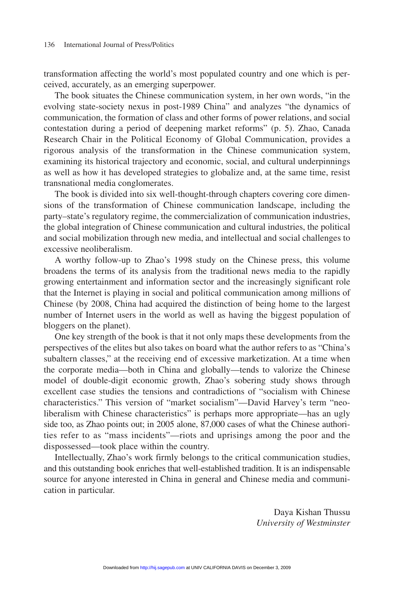transformation affecting the world's most populated country and one which is perceived, accurately, as an emerging superpower.

The book situates the Chinese communication system, in her own words, "in the evolving state-society nexus in post-1989 China" and analyzes "the dynamics of communication, the formation of class and other forms of power relations, and social contestation during a period of deepening market reforms" (p. 5). Zhao, Canada Research Chair in the Political Economy of Global Communication, provides a rigorous analysis of the transformation in the Chinese communication system, examining its historical trajectory and economic, social, and cultural underpinnings as well as how it has developed strategies to globalize and, at the same time, resist transnational media conglomerates.

The book is divided into six well-thought-through chapters covering core dimensions of the transformation of Chinese communication landscape, including the party–state's regulatory regime, the commercialization of communication industries, the global integration of Chinese communication and cultural industries, the political and social mobilization through new media, and intellectual and social challenges to excessive neoliberalism.

A worthy follow-up to Zhao's 1998 study on the Chinese press, this volume broadens the terms of its analysis from the traditional news media to the rapidly growing entertainment and information sector and the increasingly significant role that the Internet is playing in social and political communication among millions of Chinese (by 2008, China had acquired the distinction of being home to the largest number of Internet users in the world as well as having the biggest population of bloggers on the planet).

One key strength of the book is that it not only maps these developments from the perspectives of the elites but also takes on board what the author refers to as "China's subaltern classes," at the receiving end of excessive marketization. At a time when the corporate media—both in China and globally—tends to valorize the Chinese model of double-digit economic growth, Zhao's sobering study shows through excellent case studies the tensions and contradictions of "socialism with Chinese characteristics." This version of "market socialism"—David Harvey's term "neoliberalism with Chinese characteristics" is perhaps more appropriate—has an ugly side too, as Zhao points out; in 2005 alone, 87,000 cases of what the Chinese authorities refer to as "mass incidents"—riots and uprisings among the poor and the dispossessed—took place within the country.

Intellectually, Zhao's work firmly belongs to the critical communication studies, and this outstanding book enriches that well-established tradition. It is an indispensable source for anyone interested in China in general and Chinese media and communication in particular.

> Daya Kishan Thussu *University of Westminster*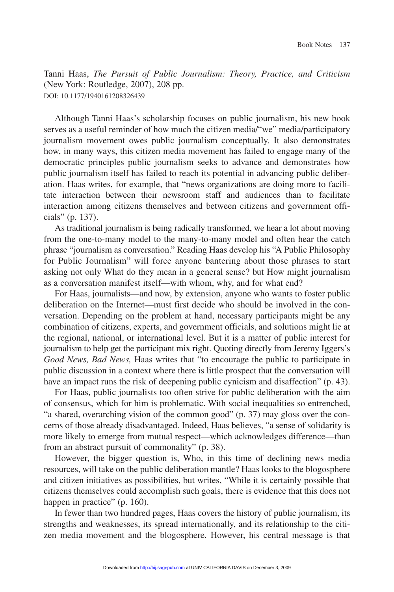Tanni Haas, *The Pursuit of Public Journalism: Theory, Practice, and Criticism* (New York: Routledge, 2007), 208 pp. DOI: 10.1177/1940161208326439

Although Tanni Haas's scholarship focuses on public journalism, his new book serves as a useful reminder of how much the citizen media/"we" media/participatory journalism movement owes public journalism conceptually. It also demonstrates how, in many ways, this citizen media movement has failed to engage many of the democratic principles public journalism seeks to advance and demonstrates how public journalism itself has failed to reach its potential in advancing public deliberation. Haas writes, for example, that "news organizations are doing more to facilitate interaction between their newsroom staff and audiences than to facilitate interaction among citizens themselves and between citizens and government officials" (p. 137).

As traditional journalism is being radically transformed, we hear a lot about moving from the one-to-many model to the many-to-many model and often hear the catch phrase "journalism as conversation." Reading Haas develop his "A Public Philosophy for Public Journalism" will force anyone bantering about those phrases to start asking not only What do they mean in a general sense? but How might journalism as a conversation manifest itself—with whom, why, and for what end?

For Haas, journalists—and now, by extension, anyone who wants to foster public deliberation on the Internet—must first decide who should be involved in the conversation. Depending on the problem at hand, necessary participants might be any combination of citizens, experts, and government officials, and solutions might lie at the regional, national, or international level. But it is a matter of public interest for journalism to help get the participant mix right. Quoting directly from Jeremy Iggers's *Good News, Bad News,* Haas writes that "to encourage the public to participate in public discussion in a context where there is little prospect that the conversation will have an impact runs the risk of deepening public cynicism and disaffection" (p. 43).

For Haas, public journalists too often strive for public deliberation with the aim of consensus, which for him is problematic. With social inequalities so entrenched, "a shared, overarching vision of the common good" (p. 37) may gloss over the concerns of those already disadvantaged. Indeed, Haas believes, "a sense of solidarity is more likely to emerge from mutual respect—which acknowledges difference—than from an abstract pursuit of commonality" (p. 38).

However, the bigger question is, Who, in this time of declining news media resources, will take on the public deliberation mantle? Haas looks to the blogosphere and citizen initiatives as possibilities, but writes, "While it is certainly possible that citizens themselves could accomplish such goals, there is evidence that this does not happen in practice" (p. 160).

In fewer than two hundred pages, Haas covers the history of public journalism, its strengths and weaknesses, its spread internationally, and its relationship to the citizen media movement and the blogosphere. However, his central message is that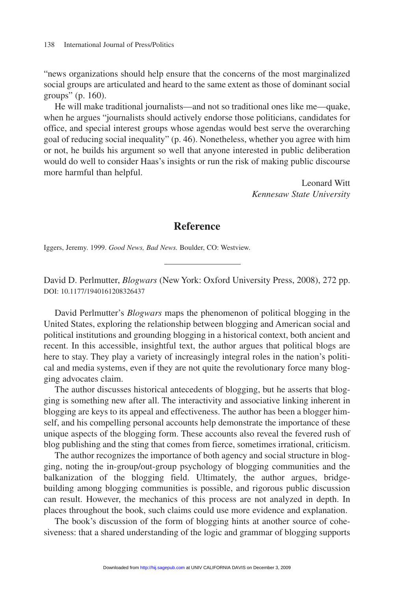"news organizations should help ensure that the concerns of the most marginalized social groups are articulated and heard to the same extent as those of dominant social groups" (p. 160).

He will make traditional journalists—and not so traditional ones like me—quake, when he argues "journalists should actively endorse those politicians, candidates for office, and special interest groups whose agendas would best serve the overarching goal of reducing social inequality" (p. 46). Nonetheless, whether you agree with him or not, he builds his argument so well that anyone interested in public deliberation would do well to consider Haas's insights or run the risk of making public discourse more harmful than helpful.

> Leonard Witt *Kennesaw State University*

## **Reference**

Iggers, Jeremy. 1999. *Good News, Bad News.* Boulder, CO: Westview.

David D. Perlmutter, *Blogwars* (New York: Oxford University Press, 2008), 272 pp. DOI: 10.1177/1940161208326437

David Perlmutter's *Blogwars* maps the phenomenon of political blogging in the United States, exploring the relationship between blogging and American social and political institutions and grounding blogging in a historical context, both ancient and recent. In this accessible, insightful text, the author argues that political blogs are here to stay. They play a variety of increasingly integral roles in the nation's political and media systems, even if they are not quite the revolutionary force many blogging advocates claim.

The author discusses historical antecedents of blogging, but he asserts that blogging is something new after all. The interactivity and associative linking inherent in blogging are keys to its appeal and effectiveness. The author has been a blogger himself, and his compelling personal accounts help demonstrate the importance of these unique aspects of the blogging form. These accounts also reveal the fevered rush of blog publishing and the sting that comes from fierce, sometimes irrational, criticism.

The author recognizes the importance of both agency and social structure in blogging, noting the in-group/out-group psychology of blogging communities and the balkanization of the blogging field. Ultimately, the author argues, bridgebuilding among blogging communities is possible, and rigorous public discussion can result. However, the mechanics of this process are not analyzed in depth. In places throughout the book, such claims could use more evidence and explanation.

The book's discussion of the form of blogging hints at another source of cohesiveness: that a shared understanding of the logic and grammar of blogging supports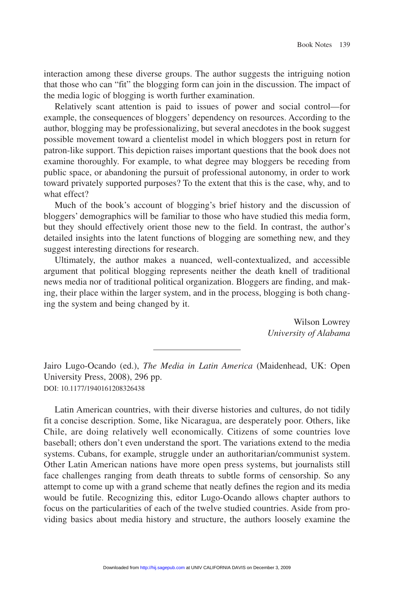interaction among these diverse groups. The author suggests the intriguing notion that those who can "fit" the blogging form can join in the discussion. The impact of the media logic of blogging is worth further examination.

Relatively scant attention is paid to issues of power and social control—for example, the consequences of bloggers' dependency on resources. According to the author, blogging may be professionalizing, but several anecdotes in the book suggest possible movement toward a clientelist model in which bloggers post in return for patron-like support. This depiction raises important questions that the book does not examine thoroughly. For example, to what degree may bloggers be receding from public space, or abandoning the pursuit of professional autonomy, in order to work toward privately supported purposes? To the extent that this is the case, why, and to what effect?

Much of the book's account of blogging's brief history and the discussion of bloggers' demographics will be familiar to those who have studied this media form, but they should effectively orient those new to the field. In contrast, the author's detailed insights into the latent functions of blogging are something new, and they suggest interesting directions for research.

Ultimately, the author makes a nuanced, well-contextualized, and accessible argument that political blogging represents neither the death knell of traditional news media nor of traditional political organization. Bloggers are finding, and making, their place within the larger system, and in the process, blogging is both changing the system and being changed by it.

> Wilson Lowrey *University of Alabama*

Jairo Lugo-Ocando (ed.), *The Media in Latin America* (Maidenhead, UK: Open University Press, 2008), 296 pp. DOI: 10.1177/1940161208326438

Latin American countries, with their diverse histories and cultures, do not tidily fit a concise description. Some, like Nicaragua, are desperately poor. Others, like Chile, are doing relatively well economically. Citizens of some countries love baseball; others don't even understand the sport. The variations extend to the media systems. Cubans, for example, struggle under an authoritarian/communist system. Other Latin American nations have more open press systems, but journalists still face challenges ranging from death threats to subtle forms of censorship. So any attempt to come up with a grand scheme that neatly defines the region and its media would be futile. Recognizing this, editor Lugo-Ocando allows chapter authors to focus on the particularities of each of the twelve studied countries. Aside from providing basics about media history and structure, the authors loosely examine the